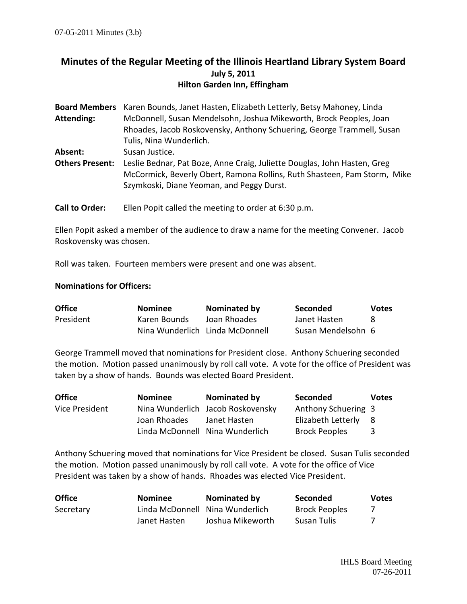## **Minutes of the Regular Meeting of the Illinois Heartland Library System Board July 5, 2011 Hilton Garden Inn, Effingham**

| Board Members Karen Bounds, Janet Hasten, Elizabeth Letterly, Betsy Mahoney, Linda                                                                                                                |
|---------------------------------------------------------------------------------------------------------------------------------------------------------------------------------------------------|
| McDonnell, Susan Mendelsohn, Joshua Mikeworth, Brock Peoples, Joan                                                                                                                                |
| Rhoades, Jacob Roskovensky, Anthony Schuering, George Trammell, Susan                                                                                                                             |
| Tulis, Nina Wunderlich.                                                                                                                                                                           |
| Susan Justice.                                                                                                                                                                                    |
| Leslie Bednar, Pat Boze, Anne Craig, Juliette Douglas, John Hasten, Greg<br>McCormick, Beverly Obert, Ramona Rollins, Ruth Shasteen, Pam Storm, Mike<br>Szymkoski, Diane Yeoman, and Peggy Durst. |
|                                                                                                                                                                                                   |

**Call to Order:** Ellen Popit called the meeting to order at 6:30 p.m.

Ellen Popit asked a member of the audience to draw a name for the meeting Convener. Jacob Roskovensky was chosen.

Roll was taken. Fourteen members were present and one was absent.

## **Nominations for Officers:**

| <b>Office</b> | <b>Nominee</b>                  | Nominated by | Seconded           | <b>Votes</b> |
|---------------|---------------------------------|--------------|--------------------|--------------|
| President     | Karen Bounds                    | Joan Rhoades | Janet Hasten       |              |
|               | Nina Wunderlich Linda McDonnell |              | Susan Mendelsohn 6 |              |

George Trammell moved that nominations for President close. Anthony Schuering seconded the motion. Motion passed unanimously by roll call vote. A vote for the office of President was taken by a show of hands. Bounds was elected Board President.

| <b>Office</b>  | <b>Nominee</b> | Nominated by                      | <b>Seconded</b>      | <b>Votes</b> |
|----------------|----------------|-----------------------------------|----------------------|--------------|
| Vice President |                | Nina Wunderlich Jacob Roskovensky | Anthony Schuering 3  |              |
|                | Joan Rhoades   | Janet Hasten                      | Elizabeth Letterly   | - 8          |
|                |                | Linda McDonnell Nina Wunderlich   | <b>Brock Peoples</b> | -3           |

Anthony Schuering moved that nominations for Vice President be closed. Susan Tulis seconded the motion. Motion passed unanimously by roll call vote. A vote for the office of Vice President was taken by a show of hands. Rhoades was elected Vice President.

| <b>Office</b> | <b>Nominee</b>                  | Nominated by     | <b>Seconded</b>      | <b>Votes</b> |
|---------------|---------------------------------|------------------|----------------------|--------------|
| Secretary     | Linda McDonnell Nina Wunderlich |                  | <b>Brock Peoples</b> |              |
|               | Janet Hasten                    | Joshua Mikeworth | Susan Tulis          |              |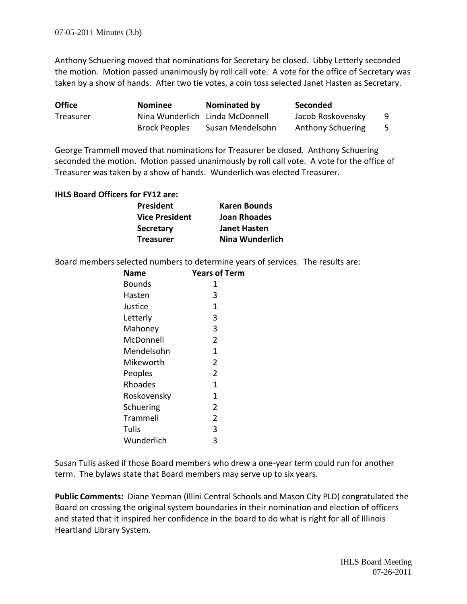Anthony Schuering moved that nominations for Secretary be closed. Libby Letterly seconded the motion. Motion passed unanimously by roll call vote. A vote for the office of Secretary was taken by a show of hands. After two tie votes, a coin toss selected Janet Hasten as Secretary.

| <b>Office</b> | <b>Nominee</b>                  | Nominated by     | Seconded                 |     |
|---------------|---------------------------------|------------------|--------------------------|-----|
| Treasurer     | Nina Wunderlich Linda McDonnell |                  | Jacob Roskovensky        | -9  |
|               | <b>Brock Peoples</b>            | Susan Mendelsohn | <b>Anthony Schuering</b> | - 5 |

George Trammell moved that nominations for Treasurer be closed. Anthony Schuering seconded the motion. Motion passed unanimously by roll call vote. A vote for the office of Treasurer was taken by a show of hands. Wunderlich was elected Treasurer.

## **IHLS Board Officers for FY12 are:**

| President      | <b>Karen Bounds</b> |
|----------------|---------------------|
| Vice President | Joan Rhoades        |
| Secretary      | Janet Hasten        |
| Treasurer      | Nina Wunderlich     |

Board members selected numbers to determine years of services. The results are:

| Name        | <b>Years of Term</b> |
|-------------|----------------------|
| Bounds      | 1                    |
| Hasten      | 3                    |
| Justice     | 1                    |
| Letterly    | 3                    |
| Mahoney     | 3                    |
| McDonnell   | $\overline{2}$       |
| Mendelsohn  | 1                    |
| Mikeworth   | 2                    |
| Peoples     | $\overline{2}$       |
| Rhoades     | 1                    |
| Roskovensky | 1                    |
| Schuering   | 2                    |
| Trammell    | 2                    |
| Tulis       | 3                    |
| Wunderlich  | 3                    |

Susan Tulis asked if those Board members who drew a one-year term could run for another term. The bylaws state that Board members may serve up to six years.

**Public Comments:** Diane Yeoman (Illini Central Schools and Mason City PLD) congratulated the Board on crossing the original system boundaries in their nomination and election of officers and stated that it inspired her confidence in the board to do what is right for all of Illinois Heartland Library System.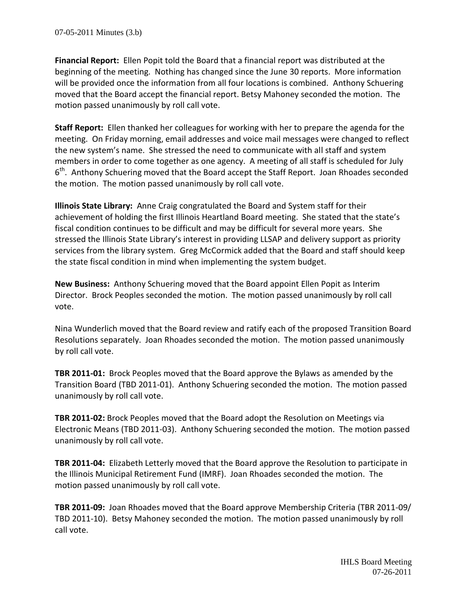**Financial Report:** Ellen Popit told the Board that a financial report was distributed at the beginning of the meeting. Nothing has changed since the June 30 reports. More information will be provided once the information from all four locations is combined. Anthony Schuering moved that the Board accept the financial report. Betsy Mahoney seconded the motion. The motion passed unanimously by roll call vote.

**Staff Report:** Ellen thanked her colleagues for working with her to prepare the agenda for the meeting. On Friday morning, email addresses and voice mail messages were changed to reflect the new system's name. She stressed the need to communicate with all staff and system members in order to come together as one agency. A meeting of all staff is scheduled for July 6<sup>th</sup>. Anthony Schuering moved that the Board accept the Staff Report. Joan Rhoades seconded the motion. The motion passed unanimously by roll call vote.

**Illinois State Library:** Anne Craig congratulated the Board and System staff for their achievement of holding the first Illinois Heartland Board meeting. She stated that the state's fiscal condition continues to be difficult and may be difficult for several more years. She stressed the Illinois State Library's interest in providing LLSAP and delivery support as priority services from the library system. Greg McCormick added that the Board and staff should keep the state fiscal condition in mind when implementing the system budget.

**New Business:** Anthony Schuering moved that the Board appoint Ellen Popit as Interim Director. Brock Peoples seconded the motion. The motion passed unanimously by roll call vote.

Nina Wunderlich moved that the Board review and ratify each of the proposed Transition Board Resolutions separately. Joan Rhoades seconded the motion. The motion passed unanimously by roll call vote.

**TBR 2011-01:** Brock Peoples moved that the Board approve the Bylaws as amended by the Transition Board (TBD 2011-01). Anthony Schuering seconded the motion. The motion passed unanimously by roll call vote.

**TBR 2011-02:** Brock Peoples moved that the Board adopt the Resolution on Meetings via Electronic Means (TBD 2011-03). Anthony Schuering seconded the motion. The motion passed unanimously by roll call vote.

**TBR 2011-04:** Elizabeth Letterly moved that the Board approve the Resolution to participate in the Illinois Municipal Retirement Fund (IMRF). Joan Rhoades seconded the motion. The motion passed unanimously by roll call vote.

**TBR 2011-09:** Joan Rhoades moved that the Board approve Membership Criteria (TBR 2011-09/ TBD 2011-10). Betsy Mahoney seconded the motion. The motion passed unanimously by roll call vote.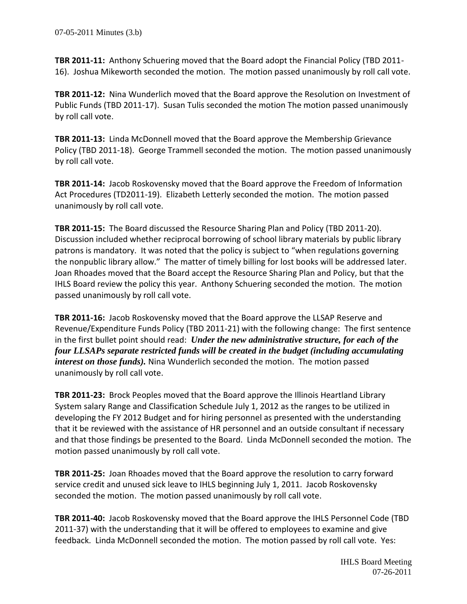**TBR 2011-11:** Anthony Schuering moved that the Board adopt the Financial Policy (TBD 2011- 16). Joshua Mikeworth seconded the motion. The motion passed unanimously by roll call vote.

**TBR 2011-12:** Nina Wunderlich moved that the Board approve the Resolution on Investment of Public Funds (TBD 2011-17). Susan Tulis seconded the motion The motion passed unanimously by roll call vote.

**TBR 2011-13:** Linda McDonnell moved that the Board approve the Membership Grievance Policy (TBD 2011-18). George Trammell seconded the motion. The motion passed unanimously by roll call vote.

**TBR 2011-14:** Jacob Roskovensky moved that the Board approve the Freedom of Information Act Procedures (TD2011-19). Elizabeth Letterly seconded the motion. The motion passed unanimously by roll call vote.

**TBR 2011-15:** The Board discussed the Resource Sharing Plan and Policy (TBD 2011-20). Discussion included whether reciprocal borrowing of school library materials by public library patrons is mandatory. It was noted that the policy is subject to "when regulations governing the nonpublic library allow." The matter of timely billing for lost books will be addressed later. Joan Rhoades moved that the Board accept the Resource Sharing Plan and Policy, but that the IHLS Board review the policy this year. Anthony Schuering seconded the motion. The motion passed unanimously by roll call vote.

**TBR 2011-16:** Jacob Roskovensky moved that the Board approve the LLSAP Reserve and Revenue/Expenditure Funds Policy (TBD 2011-21) with the following change: The first sentence in the first bullet point should read: *Under the new administrative structure, for each of the four LLSAPs separate restricted funds will be created in the budget (including accumulating interest on those funds).* Nina Wunderlich seconded the motion. The motion passed unanimously by roll call vote.

**TBR 2011-23:** Brock Peoples moved that the Board approve the Illinois Heartland Library System salary Range and Classification Schedule July 1, 2012 as the ranges to be utilized in developing the FY 2012 Budget and for hiring personnel as presented with the understanding that it be reviewed with the assistance of HR personnel and an outside consultant if necessary and that those findings be presented to the Board. Linda McDonnell seconded the motion. The motion passed unanimously by roll call vote.

**TBR 2011-25:** Joan Rhoades moved that the Board approve the resolution to carry forward service credit and unused sick leave to IHLS beginning July 1, 2011. Jacob Roskovensky seconded the motion. The motion passed unanimously by roll call vote.

**TBR 2011-40:** Jacob Roskovensky moved that the Board approve the IHLS Personnel Code (TBD 2011-37) with the understanding that it will be offered to employees to examine and give feedback. Linda McDonnell seconded the motion. The motion passed by roll call vote. Yes: